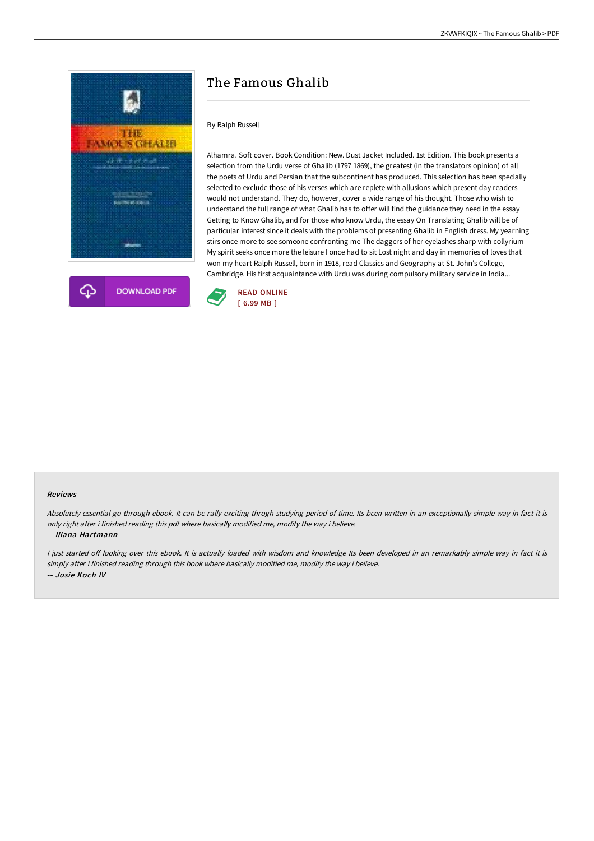



# The Famous Ghalib

### By Ralph Russell

Alhamra. Soft cover. Book Condition: New. Dust Jacket Included. 1st Edition. This book presents a selection from the Urdu verse of Ghalib (1797 1869), the greatest (in the translators opinion) of all the poets of Urdu and Persian that the subcontinent has produced. This selection has been specially selected to exclude those of his verses which are replete with allusions which present day readers would not understand. They do, however, cover a wide range of his thought. Those who wish to understand the full range of what Ghalib has to offer will find the guidance they need in the essay Getting to Know Ghalib, and for those who know Urdu, the essay On Translating Ghalib will be of particular interest since it deals with the problems of presenting Ghalib in English dress. My yearning stirs once more to see someone confronting me The daggers of her eyelashes sharp with collyrium My spirit seeks once more the leisure I once had to sit Lost night and day in memories of loves that won my heart Ralph Russell, born in 1918, read Classics and Geography at St. John's College, Cambridge. His first acquaintance with Urdu was during compulsory military service in India...



#### Reviews

Absolutely essential go through ebook. It can be rally exciting throgh studying period of time. Its been written in an exceptionally simple way in fact it is only right after i finished reading this pdf where basically modified me, modify the way i believe.

#### -- Iliana Hartmann

I just started off looking over this ebook. It is actually loaded with wisdom and knowledge Its been developed in an remarkably simple way in fact it is simply after i finished reading through this book where basically modified me, modify the way i believe. -- Josie Koch IV